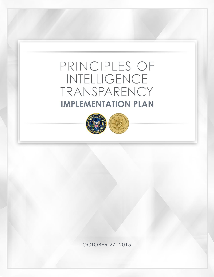# PRINCIPLES OF INTELLIGENCE TRANSPARENCY **IMPLEMENTATION PLAN**



OCTOBER 27, 2015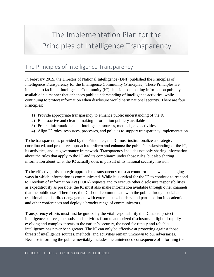## The Implementation Plan for the Principles of Intelligence Transparency

## The Principles of Intelligence Transparency

In February 2015, the Director of National Intelligence (DNI) published the Principles of Intelligence Transparency for the Intelligence Community (Principles). These Principles are intended to facilitate Intelligence Community (IC) decisions on making information publicly available in a manner that enhances public understanding of intelligence activities, while continuing to protect information when disclosure would harm national security. There are four Principles:

- 1) Provide appropriate transparency to enhance public understanding of the IC
- 2) Be proactive and clear in making information publicly available
- 3) Protect information about intelligence sources, methods, and activities
- 4) Align IC roles, resources, processes, and policies to support transparency implementation

To be transparent, as provided by the Principles, the IC must institutionalize a strategic, coordinated, and proactive approach to inform and enhance the public's understanding of the IC, its activities, and its governance framework. Transparency includes not only sharing information about the rules that apply to the IC and its compliance under those rules, but also sharing information about what the IC actually does in pursuit of its national security mission.

To be effective, this strategic approach to transparency must account for the new and changing ways in which information is communicated. While it is critical for the IC to continue to respond to Freedom of Information Act (FOIA) requests and to execute other disclosure responsibilities as expeditiously as possible, the IC must also make information available through other channels that the public uses. Therefore, the IC should communicate with the public through social and traditional media, direct engagement with external stakeholders, and participation in academic and other conferences and deploy a broader range of communicators.

Transparency efforts must first be guided by the vital responsibility the IC has to protect intelligence sources, methods, and activities from unauthorized disclosure. In light of rapidly evolving and complex threats to the nation's security, the need for timely and reliable intelligence has never been greater. The IC can only be effective at protecting against those threats if intelligence sources, methods, and activities remain unknown to our adversaries. Because informing the public inevitably includes the unintended consequence of informing the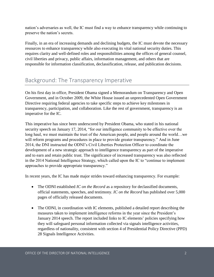nation's adversaries as well, the IC must find a way to enhance transparency while continuing to preserve the nation's secrets.

Finally, in an era of increasing demands and declining budgets, the IC must devote the necessary resources to enhance transparency while also executing its vital national security duties. This requires clarity and well-defined roles and responsibilities among the offices of general counsel, civil liberties and privacy, public affairs, information management, and others that are responsible for information classification, declassification, release, and publication decisions.

## Background: The Transparency Imperative

On his first day in office, President Obama signed a Memorandum on Transparency and Open Government, and in October 2009, the White House issued an unprecedented Open Government Directive requiring federal agencies to take specific steps to achieve key milestones in transparency, participation, and collaboration. Like the rest of government, transparency is an imperative for the IC.

This imperative has since been underscored by President Obama, who stated in his national security speech on January 17, 2014, "for our intelligence community to be effective over the long haul, we must maintain the trust of the American people, and people around the world…we will reform programs and procedures in place to provide greater transparency." And in June 2014, the DNI instructed the ODNI's Civil Liberties Protection Officer to coordinate the development of a new strategic approach to intelligence transparency as part of the imperative and to earn and retain public trust. The significance of increased transparency was also reflected in the 2014 National Intelligence Strategy, which called upon the IC to "continue to implement approaches to provide appropriate transparency."

In recent years, the IC has made major strides toward enhancing transparency. For example:

- The ODNI established *IC on the Record* as a repository for declassified documents, official statements, speeches, and testimony. *IC on the Record* has published over 5,000 pages of officially released documents.
- The ODNI, in coordination with IC elements, published a detailed report describing the measures taken to implement intelligence reforms in the year since the President's January 2014 speech. The report included links to IC elements' policies specifying how they will safeguard personal information collected via signals intelligence activities, regardless of nationality, consistent with section 4 of Presidential Policy Directive (PPD) 28 Signals Intelligence Activities.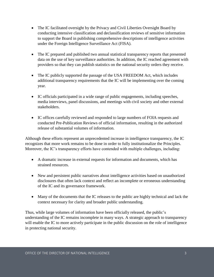- The IC facilitated oversight by the Privacy and Civil Liberties Oversight Board by conducting intensive classification and declassification reviews of sensitive information to support the Board in publishing comprehensive descriptions of intelligence activities under the Foreign Intelligence Surveillance Act (FISA).
- The IC prepared and published two annual statistical transparency reports that presented data on the use of key surveillance authorities. In addition, the IC reached agreement with providers so that they can publish statistics on the national security orders they receive.
- The IC publicly supported the passage of the USA FREEDOM Act, which includes additional transparency requirements that the IC will be implementing over the coming year.
- IC officials participated in a wide range of public engagements, including speeches, media interviews, panel discussions, and meetings with civil society and other external stakeholders.
- IC offices carefully reviewed and responded to large numbers of FOIA requests and conducted Pre-Publication Reviews of official information, resulting in the authorized release of substantial volumes of information.

Although these efforts represent an unprecedented increase in intelligence transparency, the IC recognizes that more work remains to be done in order to fully institutionalize the Principles. Moreover, the IC's transparency efforts have contended with multiple challenges, including:

- A dramatic increase in external requests for information and documents, which has strained resources.
- New and persistent public narratives about intelligence activities based on unauthorized disclosures that often lack context and reflect an incomplete or erroneous understanding of the IC and its governance framework.
- Many of the documents that the IC releases to the public are highly technical and lack the context necessary for clarity and broader public understanding.

Thus, while large volumes of information have been officially released, the public's understanding of the IC remains incomplete in many ways. A strategic approach to transparency will enable the IC to more actively participate in the public discussion on the role of intelligence in protecting national security.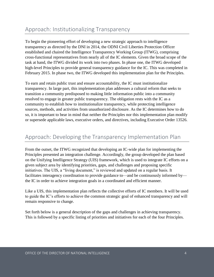## Approach: Institutionalizing Transparency

To begin the pioneering effort of developing a new strategic approach to intelligence transparency as directed by the DNI in 2014, the ODNI Civil Liberties Protection Officer established and chaired the Intelligence Transparency Working Group (ITWG), comprising cross-functional representatives from nearly all of the IC elements. Given the broad scope of the task at hand, the ITWG divided its work into two phases. In phase one, the ITWG developed high-level Principles to provide general transparency guidance for the IC. This was completed in February 2015. In phase two, the ITWG developed this implementation plan for the Principles.

To earn and retain public trust and ensure accountability, the IC must institutionalize transparency. In large part, this implementation plan addresses a cultural reform that seeks to transition a community predisposed to making little information public into a community resolved to engage in greater public transparency. The obligation rests with the IC as a community to establish how to institutionalize transparency, while protecting intelligence sources, methods, and activities from unauthorized disclosure. As the IC determines how to do so, it is important to bear in mind that neither the Principles nor this implementation plan modify or supersede applicable laws, executive orders, and directives, including Executive Order 13526.

#### Approach: Developing the Transparency Implementation Plan

From the outset, the ITWG recognized that developing an IC-wide plan for implementing the Principles presented an integration challenge. Accordingly, the group developed the plan based on the Unifying Intelligence Strategy (UIS) framework, which is used to integrate IC efforts on a given subject area by identifying priorities, gaps, and challenges and proposing specific initiatives. The UIS, a "living document," is reviewed and updated on a regular basis. It facilitates interagency coordination to provide guidance to—and be continuously informed by the IC in order to achieve integration goals in a coordinated and efficient manner.

Like a UIS, this implementation plan reflects the collective efforts of IC members. It will be used to guide the IC's efforts to achieve the common strategic goal of enhanced transparency and will remain responsive to change.

Set forth below is a general description of the gaps and challenges in achieving transparency. This is followed by a specific listing of priorities and initiatives for each of the four Principles.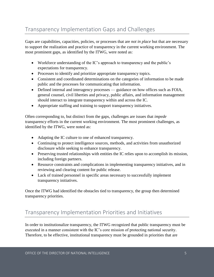## Transparency Implementation Gaps and Challenges

Gaps are capabilities, capacities, policies, or processes that are *not in place* but that are necessary to support the realization and practice of transparency in the current working environment. The most prominent gaps, as identified by the ITWG, were noted as:

- Workforce understanding of the IC's approach to transparency and the public's expectations for transparency.
- Processes to identify and prioritize appropriate transparency topics.
- Consistent and coordinated determinations on the categories of information to be made public and the processes for communicating that information.
- Defined internal and interagency processes guidance on how offices such as FOIA, general counsel, civil liberties and privacy, public affairs, and information management should interact to integrate transparency within and across the IC.
- Appropriate staffing and training to support transparency initiatives.

Often corresponding to, but distinct from the gaps, challenges are issues that *impede*  transparency efforts in the current working environment. The most prominent challenges, as identified by the ITWG, were noted as:

- Adapting the IC culture to one of enhanced transparency.
- Continuing to protect intelligence sources, methods, and activities from unauthorized disclosure while seeking to enhance transparency.
- Preserving trusted relationships with entities the IC relies upon to accomplish its mission, including foreign partners.
- Resource constraints and complications in implementing transparency initiatives, and in reviewing and clearing content for public release.
- Lack of trained personnel in specific areas necessary to successfully implement transparency initiatives.

Once the ITWG had identified the obstacles tied to transparency, the group then determined transparency priorities.

### Transparency Implementation Priorities and Initiatives

In order to institutionalize transparency, the ITWG recognized that public transparency must be executed in a manner consistent with the IC's core mission of protecting national security. Therefore, to be effective, institutional transparency must be grounded in priorities that are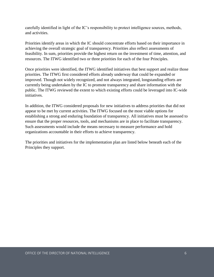carefully identified in light of the IC's responsibility to protect intelligence sources, methods, and activities.

Priorities identify areas in which the IC should concentrate efforts based on their importance in achieving the overall strategic goal of transparency. Priorities also reflect assessments of feasibility. In sum, priorities provide the highest return on the investment of time, attention, and resources. The ITWG identified two or three priorities for each of the four Principles.

Once priorities were identified, the ITWG identified initiatives that best support and realize those priorities. The ITWG first considered efforts already underway that could be expanded or improved. Though not widely recognized, and not always integrated, longstanding efforts are currently being undertaken by the IC to promote transparency and share information with the public. The ITWG reviewed the extent to which existing efforts could be leveraged into IC-wide initiatives.

In addition, the ITWG considered proposals for new initiatives to address priorities that did not appear to be met by current activities. The ITWG focused on the most viable options for establishing a strong and enduring foundation of transparency. All initiatives must be assessed to ensure that the proper resources, tools, and mechanisms are in place to facilitate transparency. Such assessments would include the means necessary to measure performance and hold organizations accountable in their efforts to achieve transparency.

The priorities and initiatives for the implementation plan are listed below beneath each of the Principles they support.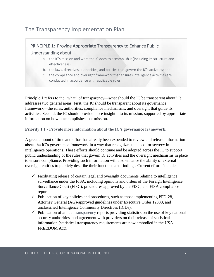#### PRINCIPLE 1: Provide Appropriate Transparency to Enhance Public Understanding about:

- a. the IC's mission and what the IC does to accomplish it (including its structure and effectiveness);
- b. the laws, directives, authorities, and policies that govern the IC's activities; and
- c. the compliance and oversight framework that ensures intelligence activities are conducted in accordance with applicable rules.

Principle 1 refers to the "what" of transparency—what should the IC be transparent about? It addresses two general areas. First, the IC should be transparent about its governance framework—the rules, authorities, compliance mechanisms, and oversight that guide its activities. Second, the IC should provide more insight into its mission, supported by appropriate information on how it accomplishes that mission.

**Priority 1.1 - Provide more information about the IC's governance framework.**

A great amount of time and effort has already been expended to review and release information about the IC's governance framework in a way that recognizes the need for secrecy in intelligence operations. These efforts should continue and be adopted across the IC to support public understanding of the rules that govern IC activities and the oversight mechanisms in place to ensure compliance. Providing such information will also enhance the ability of external oversight entities to publicly describe their functions and findings. Current efforts include:

- $\checkmark$  Facilitating release of certain legal and oversight documents relating to intelligence surveillance under the FISA, including opinions and orders of the Foreign Intelligence Surveillance Court (FISC), procedures approved by the FISC, and FISA compliance reports.
- $\checkmark$  Publication of key policies and procedures, such as those implementing PPD-28, Attorney General (AG)-approved guidelines under Executive Order 12333, and unclassified Intelligence Community Directives (ICDs).
- $\checkmark$  Publication of annual transparency reports providing statistics on the use of key national security authorities, and agreement with providers on their release of statistical information (statistical transparency requirements are now embodied in the USA FREEDOM Act).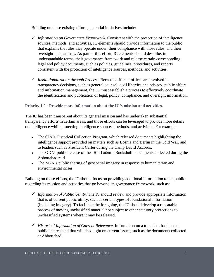Building on these existing efforts, potential initiatives include:

- *Information on Governance Framework.* Consistent with the protection of intelligence sources, methods, and activities, IC elements should provide information to the public that explains the rules they operate under, their compliance with those rules, and their oversight mechanisms. As part of this effort, IC elements should describe, in understandable terms, their governance framework and release certain corresponding legal and policy documents, such as policies, guidelines, procedures, and reports consistent with the protection of intelligence sources, methods, and activities.
- *Institutionalization through Process.* Because different offices are involved in transparency decisions, such as general counsel, civil liberties and privacy, public affairs, and information management, the IC must establish a process to effectively coordinate the identification and publication of legal, policy, compliance, and oversight information.

#### **Priority 1.2 - Provide more information about the IC's mission and activities.**

The IC has been transparent about its general mission and has undertaken substantial transparency efforts in certain areas, and those efforts can be leveraged to provide more details on intelligence while protecting intelligence sources, methods, and activities. For example:

- The CIA's Historical Collection Program, which released documents highlighting the intelligence support provided on matters such as Bosnia and Berlin in the Cold War, and to leaders such as President Carter during the Camp David Accords.
- The ODNI public release of the "Bin Laden's Bookshelf" documents collected during the Abbottabad raid.
- The NGA's public sharing of geospatial imagery in response to humanitarian and environmental crises.

Building on those efforts, the IC should focus on providing additional information to the public regarding its mission and activities that go beyond its governance framework, such as:

- $\checkmark$  Information of Public Utility. The IC should review and provide appropriate information that is of current public utility, such as certain types of foundational information (including imagery). To facilitate the foregoing, the IC should develop a repeatable process of moving unclassified material not subject to other statutory protections to unclassified systems where it may be released.
- $\checkmark$  *Historical Information of Current Relevance.* Information on a topic that has been of public interest and that will shed light on current issues, such as the documents collected at Abbottabad.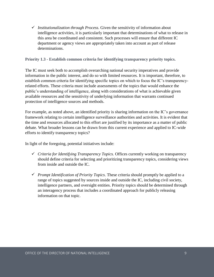*Institutionalization through Process.* Given the sensitivity of information about intelligence activities, it is particularly important that determinations of what to release in this area be coordinated and consistent. Such processes will ensure that different IC department or agency views are appropriately taken into account as part of release determinations.

**Priority 1.3 - Establish common criteria for identifying transparency priority topics.**

The IC must seek both to accomplish overarching national security imperatives and provide information in the public interest, and do so with limited resources. It is important, therefore, to establish common criteria for identifying specific topics on which to focus the IC's transparencyrelated efforts. These criteria must include assessments of the topics that would enhance the public's understanding of intelligence, along with considerations of what is achievable given available resources and the sensitivity of underlying information that warrants continued protection of intelligence sources and methods.

For example, as noted above, an identified priority is sharing information on the IC's governance framework relating to certain intelligence surveillance authorities and activities. It is evident that the time and resources allocated to this effort are justified by its importance as a matter of public debate. What broader lessons can be drawn from this current experience and applied to IC-wide efforts to identify transparency topics?

In light of the foregoing, potential initiatives include:

- *Criteria for Identifying Transparency Topics.* Offices currently working on transparency should define criteria for selecting and prioritizing transparency topics, considering views from inside and outside the IC.
- *Prompt Identification of Priority Topics*. These criteria should promptly be applied to a range of topics suggested by sources inside and outside the IC, including civil society, intelligence partners, and oversight entities. Priority topics should be determined through an interagency process that includes a coordinated approach for publicly releasing information on that topic.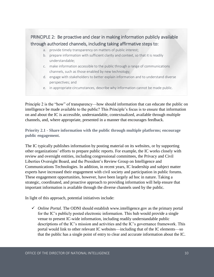#### PRINCIPLE 2: Be proactive and clear in making information publicly available through authorized channels, including taking affirmative steps to:

- a. provide timely transparency on matters of public interest;
- b. prepare information with sufficient clarity and context, so that it is readily understandable;
- c. make information accessible to the public through a range of communications channels, such as those enabled by new technology;
- d. engage with stakeholders to better explain information and to understand diverse perspectives; and
- e. in appropriate circumstances, describe why information cannot be made public.

Principle 2 is the "how" of transparency—how should information that can educate the public on intelligence be made available to the public? This Principle's focus is to ensure that information on and about the IC is accessible, understandable, contextualized, available through multiple channels, and, where appropriate, presented in a manner that encourages feedback.

**Priority 2.1 - Share information with the public through multiple platforms; encourage public engagement.**

The IC typically publishes information by posting material on its websites, or by supporting other organizations' efforts to prepare public reports. For example, the IC works closely with review and oversight entities, including congressional committees, the Privacy and Civil Liberties Oversight Board, and the President's Review Group on Intelligence and Communications Technologies. In addition, in recent years, IC leadership and subject matter experts have increased their engagement with civil society and participation in public forums. These engagement opportunities, however, have been largely ad hoc in nature. Taking a strategic, coordinated, and proactive approach to providing information will help ensure that important information is available through the diverse channels used by the public.

In light of this approach, potential initiatives include:

 $\checkmark$  *Online Portal.* The ODNI should establish www.intelligence.gov as the primary portal for the IC's publicly posted electronic information. This hub would provide a single venue to present IC-wide information, including readily understandable public descriptions of the IC's mission and activities and the IC's governance framework. This portal would link to other relevant IC websites—including that of the IC elements—so that the public has a single point of entry to clear and accurate information about the IC.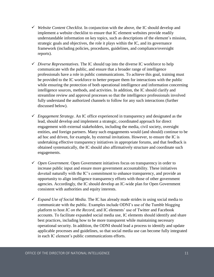- *Website Content Checklist.* In conjunction with the above, the IC should develop and implement a website checklist to ensure that IC element websites provide readily understandable information on key topics, such as descriptions of the element's mission, strategic goals and objectives, the role it plays within the IC, and its governance framework (including policies, procedures, guidelines, and compliance/oversight reports).
- *Diverse Representatives.* The IC should tap into the diverse IC workforce to help communicate with the public, and ensure that a broader range of intelligence professionals have a role in public communications. To achieve this goal, training must be provided to the IC workforce to better prepare them for interactions with the public while ensuring the protection of both operational intelligence and information concerning intelligence sources, methods, and activities. In addition, the IC should clarify and streamline review and approval processes so that the intelligence professionals involved fully understand the authorized channels to follow for any such interactions (further discussed below).
- *Engagement Strategy.* An IC office experienced in transparency and designated as the lead, should develop and implement a strategic, coordinated approach for direct engagement with external stakeholders, including the media, civil society, oversight entities, and foreign partners. Many such engagements would (and should) continue to be ad hoc and driven, for example, by external invitations. However, to ensure the IC is undertaking effective transparency initiatives in appropriate forums, and that feedback is obtained systematically, the IC should also affirmatively structure and coordinate such engagements.
- *Open Government*. Open Government initiatives focus on transparency in order to increase public input and ensure more government accountability. These initiatives dovetail naturally with the IC's commitment to enhance transparency, and provide an opportunity to align intelligence transparency efforts with those of other government agencies. Accordingly, the IC should develop an IC-wide plan for Open Government consistent with authorities and equity interests.
- *Expand Use of Social Media.* The IC has already made strides in using social media to communicate with the public. Examples include ODNI's use of the Tumblr blogging platform to host *IC on the Record*, and IC elements' use of Twitter and Facebook accounts. To facilitate expanded social media use, IC elements should identify and share best practices, including how to be more transparent while maintaining necessary operational security. In addition, the ODNI should lead a process to identify and update applicable processes and guidelines, so that social media use can become fully integrated in each IC element's public communications efforts.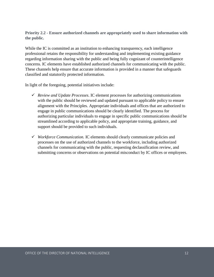**Priority 2.2 - Ensure authorized channels are appropriately used to share information with the public.**

While the IC is committed as an institution to enhancing transparency, each intelligence professional retains the responsibility for understanding and implementing existing guidance regarding information sharing with the public and being fully cognizant of counterintelligence concerns. IC elements have established authorized channels for communicating with the public. These channels help ensure that accurate information is provided in a manner that safeguards classified and statutorily protected information.

In light of the foregoing, potential initiatives include:

- *Review and Update Processes*. IC element processes for authorizing communications with the public should be reviewed and updated pursuant to applicable policy to ensure alignment with the Principles*.* Appropriate individuals and offices that are authorized to engage in public communications should be clearly identified. The process for authorizing particular individuals to engage in specific public communications should be streamlined according to applicable policy, and appropriate training, guidance, and support should be provided to such individuals.
- *Workforce Communication.* IC elements should clearly communicate policies and processes on the use of authorized channels to the workforce, including authorized channels for communicating with the public, requesting declassification review, and submitting concerns or observations on potential misconduct by IC offices or employees.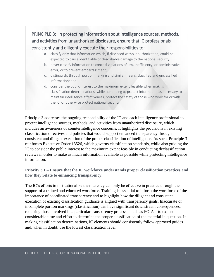#### PRINCIPLE 3: In protecting information about intelligence sources, methods, and activities from unauthorized disclosure, ensure that IC professionals consistently and diligently execute their responsibilities to:

- a. classify only that information which, if disclosed without authorization, could be expected to cause identifiable or describable damage to the national security;
- b. never classify information to conceal violations of law, inefficiency, or administrative error, or to prevent embarrassment;
- c. distinguish, through portion marking and similar means, classified and unclassified information; and
- d. consider the public interest to the maximum extent feasible when making classification determinations, while continuing to protect information as necessary to maintain intelligence effectiveness, protect the safety of those who work for or with the IC, or otherwise protect national security.

Principle 3 addresses the ongoing responsibility of the IC and each intelligence professional to protect intelligence sources, methods, and activities from unauthorized disclosure, which includes an awareness of counterintelligence concerns. It highlights the provisions in existing classification directives and policies that would support enhanced transparency through consistent and diligent execution of the proper classification of intelligence. As such, Principle 3 reinforces Executive Order 13526, which governs classification standards, while also guiding the IC to consider the public interest to the maximum extent feasible in conducting declassification reviews in order to make as much information available as possible while protecting intelligence information.

**Priority 3.1 – Ensure that the IC workforce understands proper classification practices and how they relate to enhancing transparency.**

The IC's efforts to institutionalize transparency can only be effective in practice through the support of a trained and educated workforce. Training is essential to inform the workforce of the importance of coordinated transparency and to highlight how the diligent and consistent execution of existing classification guidance is aligned with transparency goals. Inaccurate or incomplete portion markings (classification) can have significant downstream consequences, requiring those involved in a particular transparency process—such as FOIA—to expend considerable time and effort to determine the proper classification of the material in question. In making classification determinations, IC elements should consistently follow approved guides and, when in doubt, use the lowest classification level.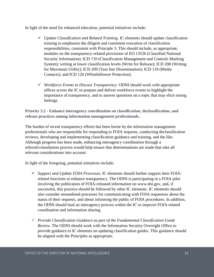In light of the need for enhanced education, potential initiatives include:

- *Update Classification and Related Training.* IC elements should update classification training to emphasize the diligent and consistent execution of classification responsibilities, consistent with Principle 3. This should include, as appropriate, modules on the transparency-related provisions of EO 13526 (Classified National Security Information); ICD 710 (Classification Management and Controls Marking System); writing at lower classification levels (Write for Release); ICD 208 (Writing for Maximum Utility); ICD 209 (Tear line Dissemination); ICD 119 (Media Contacts); and ICD 120 (Whistleblower Protection).
- *Workforce Events to Discuss Transparency.* ODNI should work with appropriate offices across the IC to prepare and deliver workforce events to highlight the importance of transparency, and to answer questions on a topic that may elicit strong feelings.

**Priority 3.2 - Enhance interagency coordination on classification, declassification, and release practices among information management professionals.**

The burden of recent transparency efforts has been borne by the information management professionals who are responsible for responding to FOIA requests, conducting declassification reviews, developing and implementing classification guidance and training, and the like. Although progress has been made, enhancing interagency coordination through a referral/consultation process would help ensure that determinations are made that take all relevant considerations into account.

In light of the foregoing, potential initiatives include:

- *Support and Update FOIA Processes.* IC elements should further support their FOIArelated functions to enhance transparency. The ODNI is participating in a FOIA pilot involving the publication of FOIA-released information on www.dni.gov, and, if successful, this practice should be followed by other IC elements. IC elements should also consider streamlined processes for communicating with FOIA requestors about the status of their requests, and about informing the public of FOIA procedures. In addition, the ODNI should lead an interagency process within the IC to improve FOIA-related coordination and information sharing.
- *Provide Classification Guidance as part of the Fundamental Classification Guide Review.* The ODNI should work with the Information Security Oversight Office to provide guidance to IC elements on updating classification guides. This guidance should be aligned with the Principles as appropriate.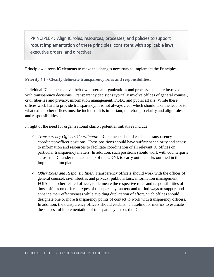PRINCIPLE 4: Align IC roles, resources, processes, and policies to support robust implementation of these principles, consistent with applicable laws, executive orders, and directives.

Principle 4 directs IC elements to make the changes necessary to implement the Principles.

**Priority 4.1 - Clearly delineate transparency roles and responsibilities.**

Individual IC elements have their own internal organizations and processes that are involved with transparency decisions. Transparency decisions typically involve offices of general counsel, civil liberties and privacy, information management, FOIA, and public affairs. While these offices work hard to provide transparency, it is not always clear which should take the lead or to what extent other offices must be included. It is important, therefore, to clarify and align roles and responsibilities.

In light of the need for organizational clarity, potential initiatives include:

- *Transparency Officers/Coordinators.* IC elements should establish transparency coordinator/officer positions. These positions should have sufficient seniority and access to information and resources to facilitate coordination of all relevant IC offices on particular transparency matters. In addition, such positions should work with counterparts across the IC, under the leadership of the ODNI, to carry out the tasks outlined in this implementation plan.
- *Other Roles and Responsibilities.* Transparency officers should work with the offices of general counsel, civil liberties and privacy, public affairs, information management, FOIA, and other related offices, to delineate the respective roles and responsibilities of those offices on different types of transparency matters and to find ways to support and enhance their effectiveness while avoiding duplication of effort. Such offices should designate one or more transparency points of contact to work with transparency officers. In addition, the transparency officers should establish a baseline for metrics to evaluate the successful implementation of transparency across the IC.